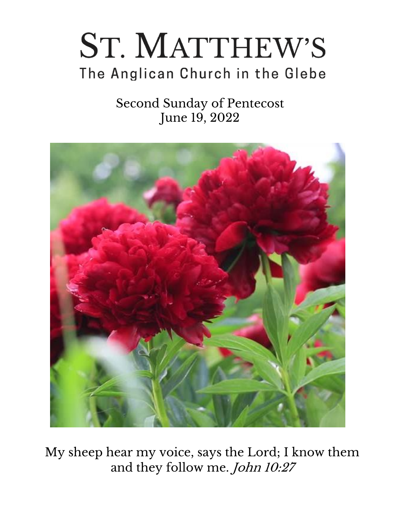# ST. MATTHEW'S The Anglican Church in the Glebe

Second Sunday of Pentecost June 19, 2022



My sheep hear my voice, says the Lord; I know them and they follow me. John 10:27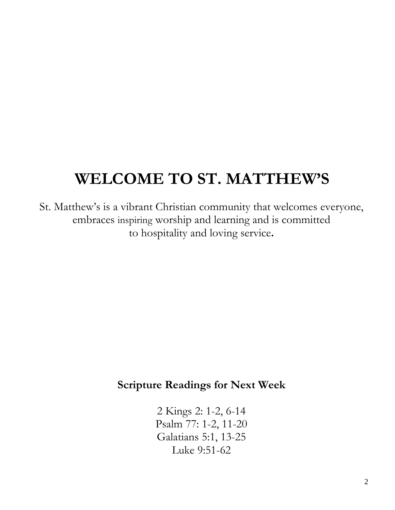# **WELCOME TO ST. MATTHEW'S**

St. Matthew's is a vibrant Christian community that welcomes everyone, embraces inspiring worship and learning and is committed to hospitality and loving service**.**

### **Scripture Readings for Next Week**

2 Kings 2: 1-2, 6-14 Psalm 77: 1-2, 11-20 Galatians 5:1, 13-25 Luke 9:51-62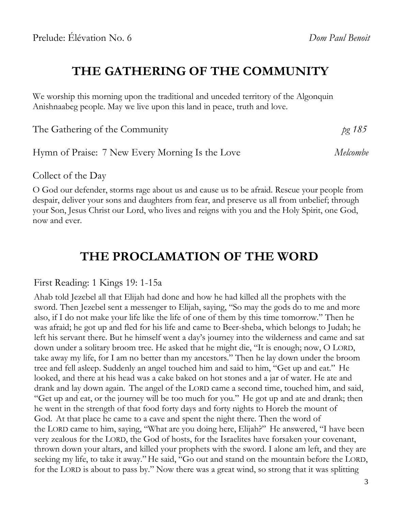# **THE GATHERING OF THE COMMUNITY**

We worship this morning upon the traditional and unceded territory of the Algonquin Anishnaabeg people. May we live upon this land in peace, truth and love.

The Gathering of the Community *pg 185*

| Hymn of Praise: 7 New Every Morning Is the Love<br>Melcombe |
|-------------------------------------------------------------|
|-------------------------------------------------------------|

Collect of the Day

O God our defender, storms rage about us and cause us to be afraid. Rescue your people from despair, deliver your sons and daughters from fear, and preserve us all from unbelief; through your Son, Jesus Christ our Lord, who lives and reigns with you and the Holy Spirit, one God, now and ever.

## **THE PROCLAMATION OF THE WORD**

#### First Reading: 1 Kings 19: 1-15a

Ahab told Jezebel all that Elijah had done and how he had killed all the prophets with the sword. Then Jezebel sent a messenger to Elijah, saying, "So may the gods do to me and more also, if I do not make your life like the life of one of them by this time tomorrow." Then he was afraid; he got up and fled for his life and came to Beer-sheba, which belongs to Judah; he left his servant there. But he himself went a day's journey into the wilderness and came and sat down under a solitary broom tree. He asked that he might die, "It is enough; now, O LORD, take away my life, for I am no better than my ancestors." Then he lay down under the broom tree and fell asleep. Suddenly an angel touched him and said to him, "Get up and eat." He looked, and there at his head was a cake baked on hot stones and a jar of water. He ate and drank and lay down again. The angel of the LORD came a second time, touched him, and said, "Get up and eat, or the journey will be too much for you." He got up and ate and drank; then he went in the strength of that food forty days and forty nights to Horeb the mount of God. At that place he came to a cave and spent the night there. Then the word of the LORD came to him, saying, "What are you doing here, Elijah?" He answered, "I have been very zealous for the LORD, the God of hosts, for the Israelites have forsaken your covenant, thrown down your altars, and killed your prophets with the sword. I alone am left, and they are seeking my life, to take it away." He said, "Go out and stand on the mountain before the LORD, for the LORD is about to pass by." Now there was a great wind, so strong that it was splitting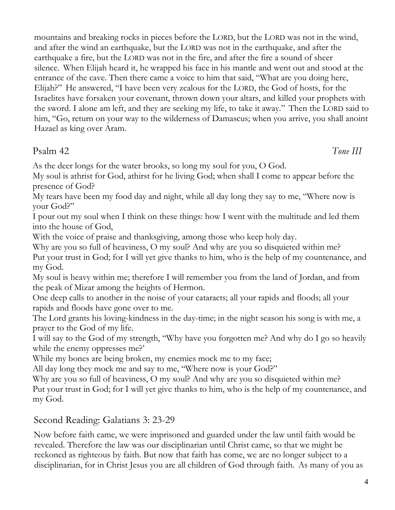mountains and breaking rocks in pieces before the LORD, but the LORD was not in the wind, and after the wind an earthquake, but the LORD was not in the earthquake, and after the earthquake a fire, but the LORD was not in the fire, and after the fire a sound of sheer silence. When Elijah heard it, he wrapped his face in his mantle and went out and stood at the entrance of the cave. Then there came a voice to him that said, "What are you doing here, Elijah?" He answered, "I have been very zealous for the LORD, the God of hosts, for the Israelites have forsaken your covenant, thrown down your altars, and killed your prophets with the sword. I alone am left, and they are seeking my life, to take it away." Then the LORD said to him, "Go, return on your way to the wilderness of Damascus; when you arrive, you shall anoint Hazael as king over Aram.

### Psalm 42 *Tone III*

As the deer longs for the water brooks, so long my soul for you, O God.

My soul is athrist for God, athirst for he living God; when shall I come to appear before the presence of God?

My tears have been my food day and night, while all day long they say to me, "Where now is your God?"

I pour out my soul when I think on these things: how I went with the multitude and led them into the house of God,

With the voice of praise and thanksgiving, among those who keep holy day.

Why are you so full of heaviness, O my soul? And why are you so disquieted within me? Put your trust in God; for I will yet give thanks to him, who is the help of my countenance, and my God.

My soul is heavy within me; therefore I will remember you from the land of Jordan, and from the peak of Mizar among the heights of Hermon.

One deep calls to another in the noise of your cataracts; all your rapids and floods; all your rapids and floods have gone over to me.

The Lord grants his loving-kindness in the day-time; in the night season his song is with me, a prayer to the God of my life.

I will say to the God of my strength, "Why have you forgotten me? And why do I go so heavily while the enemy oppresses me?'

While my bones are being broken, my enemies mock me to my face;

All day long they mock me and say to me, "Where now is your God?"

Why are you so full of heaviness, O my soul? And why are you so disquieted within me? Put your trust in God; for I will yet give thanks to him, who is the help of my countenance, and my God.

#### Second Reading: Galatians 3: 23-29

Now before faith came, we were imprisoned and guarded under the law until faith would be revealed. Therefore the law was our disciplinarian until Christ came, so that we might be reckoned as righteous by faith. But now that faith has come, we are no longer subject to a disciplinarian, for in Christ Jesus you are all children of God through faith. As many of you as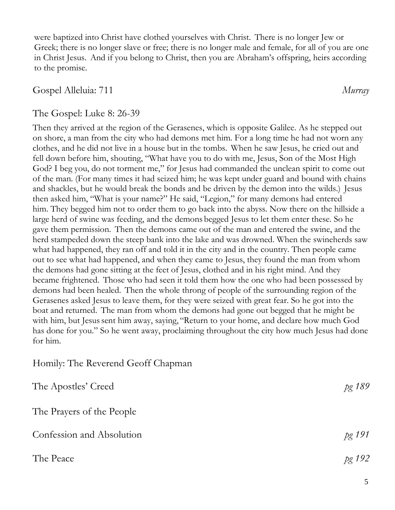were baptized into Christ have clothed yourselves with Christ. There is no longer Jew or Greek; there is no longer slave or free; there is no longer male and female, for all of you are one in Christ Jesus. And if you belong to Christ, then you are Abraham's offspring, heirs according to the promise.

Gospel Alleluia: 711 *Murray*

#### The Gospel: Luke 8: 26-39

Then they arrived at the region of the Gerasenes, which is opposite Galilee. As he stepped out on shore, a man from the city who had demons met him. For a long time he had not worn any clothes, and he did not live in a house but in the tombs. When he saw Jesus, he cried out and fell down before him, shouting, "What have you to do with me, Jesus, Son of the Most High God? I beg you, do not torment me," for Jesus had commanded the unclean spirit to come out of the man. (For many times it had seized him; he was kept under guard and bound with chains and shackles, but he would break the bonds and be driven by the demon into the wilds.) Jesus then asked him, "What is your name?" He said, "Legion," for many demons had entered him. They begged him not to order them to go back into the abyss. Now there on the hillside a large herd of swine was feeding, and the demons begged Jesus to let them enter these. So he gave them permission. Then the demons came out of the man and entered the swine, and the herd stampeded down the steep bank into the lake and was drowned. When the swineherds saw what had happened, they ran off and told it in the city and in the country. Then people came out to see what had happened, and when they came to Jesus, they found the man from whom the demons had gone sitting at the feet of Jesus, clothed and in his right mind. And they became frightened. Those who had seen it told them how the one who had been possessed by demons had been healed. Then the whole throng of people of the surrounding region of the Gerasenes asked Jesus to leave them, for they were seized with great fear. So he got into the boat and returned. The man from whom the demons had gone out begged that he might be with him, but Jesus sent him away, saying, "Return to your home, and declare how much God has done for you." So he went away, proclaiming throughout the city how much Jesus had done for him.

| Homily: The Reverend Geoff Chapman |        |
|------------------------------------|--------|
| The Apostles' Creed                | pg 189 |
| The Prayers of the People          |        |
| Confession and Absolution          | pg 191 |
| The Peace                          | pg 192 |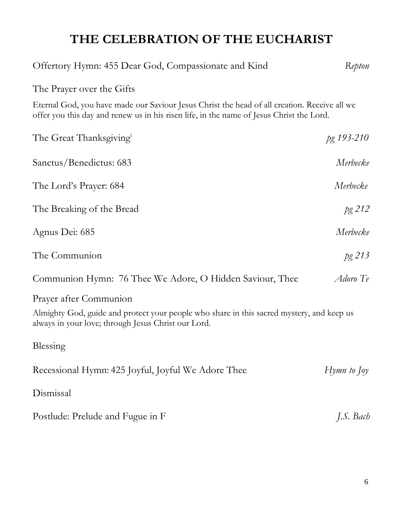# **THE CELEBRATION OF THE EUCHARIST**

| Offertory Hymn: 455 Dear God, Compassionate and Kind                                                                                                                                     | Repton                |  |
|------------------------------------------------------------------------------------------------------------------------------------------------------------------------------------------|-----------------------|--|
| The Prayer over the Gifts                                                                                                                                                                |                       |  |
| Eternal God, you have made our Saviour Jesus Christ the head of all creation. Receive all we<br>offer you this day and renew us in his risen life, in the name of Jesus Christ the Lord. |                       |  |
| The Great Thanksgiving <sup>1</sup>                                                                                                                                                      | pg 193-210            |  |
| Sanctus/Benedictus: 683                                                                                                                                                                  | Merbecke              |  |
| The Lord's Prayer: 684                                                                                                                                                                   | Merbecke              |  |
| The Breaking of the Bread                                                                                                                                                                | pg 212                |  |
| Agnus Dei: 685                                                                                                                                                                           | Merbecke              |  |
| The Communion                                                                                                                                                                            | pg 213                |  |
| Communion Hymn: 76 Thee We Adore, O Hidden Saviour, Thee                                                                                                                                 | Adoro Te              |  |
| Prayer after Communion<br>Almighty God, guide and protect your people who share in this sacred mystery, and keep us<br>always in your love; through Jesus Christ our Lord.               |                       |  |
| Blessing                                                                                                                                                                                 |                       |  |
| Recessional Hymn: 425 Joyful, Joyful We Adore Thee                                                                                                                                       | $H$ <i>ymn</i> to Joy |  |
| Dismissal                                                                                                                                                                                |                       |  |
| Postlude: Prelude and Fugue in F                                                                                                                                                         | J.S. Bach             |  |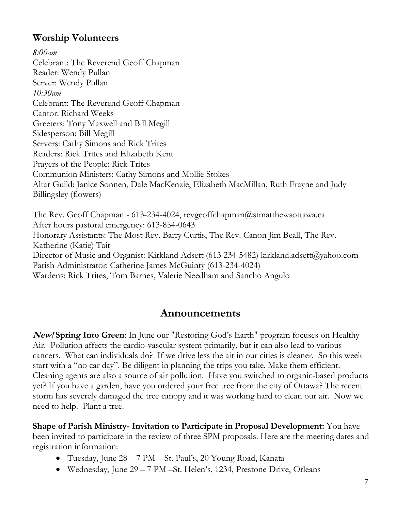### **Worship Volunteers**

*8:00am* Celebrant: The Reverend Geoff Chapman Reader: Wendy Pullan Server: Wendy Pullan *10:30am* Celebrant: The Reverend Geoff Chapman Cantor: Richard Weeks Greeters: Tony Maxwell and Bill Megill Sidesperson: Bill Megill Servers: Cathy Simons and Rick Trites Readers: Rick Trites and Elizabeth Kent Prayers of the People: Rick Trites Communion Ministers: Cathy Simons and Mollie Stokes Altar Guild: Janice Sonnen, Dale MacKenzie, Elizabeth MacMillan, Ruth Frayne and Judy Billingsley (flowers)

The Rev. Geoff Chapman - 613-234-4024, revgeoffchapman@stmatthewsottawa.ca After hours pastoral emergency: 613-854-0643 Honorary Assistants: The Most Rev. Barry Curtis, The Rev. Canon Jim Beall, The Rev. Katherine (Katie) Tait Director of Music and Organist: Kirkland Adsett (613 234-5482) kirkland.adsett@yahoo.com Parish Administrator: Catherine James McGuinty (613-234-4024) Wardens: Rick Trites, Tom Barnes, Valerie Needham and Sancho Angulo

#### **Announcements**

**New! Spring Into Green**: In June our "Restoring God's Earth" program focuses on Healthy Air. Pollution affects the cardio-vascular system primarily, but it can also lead to various cancers. What can individuals do? If we drive less the air in our cities is cleaner. So this week start with a "no car day". Be diligent in planning the trips you take. Make them efficient. Cleaning agents are also a source of air pollution. Have you switched to organic-based products yet? If you have a garden, have you ordered your free tree from the city of Ottawa? The recent storm has severely damaged the tree canopy and it was working hard to clean our air. Now we need to help. Plant a tree.

**Shape of Parish Ministry- Invitation to Participate in Proposal Development:** You have been invited to participate in the review of three SPM proposals. Here are the meeting dates and registration information:

- Tuesday, June 28 7 PM St. Paul's, 20 Young Road, Kanata
- Wednesday, June 29 7 PM St. Helen's, 1234, Prestone Drive, Orleans